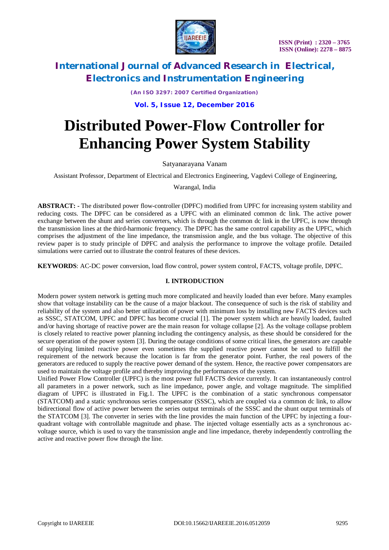

*(An ISO 3297: 2007 Certified Organization)*

### **Vol. 5, Issue 12, December 2016**

# **Distributed Power-Flow Controller for Enhancing Power System Stability**

Satyanarayana Vanam

Assistant Professor, Department of Electrical and Electronics Engineering, Vagdevi College of Engineering,

Warangal, India

**ABSTRACT: -** The distributed power flow-controller (DPFC) modified from UPFC for increasing system stability and reducing costs. The DPFC can be considered as a UPFC with an eliminated common dc link. The active power exchange between the shunt and series converters, which is through the common dc link in the UPFC, is now through the transmission lines at the third-harmonic frequency. The DPFC has the same control capability as the UPFC, which comprises the adjustment of the line impedance, the transmission angle, and the bus voltage. The objective of this review paper is to study principle of DPFC and analysis the performance to improve the voltage profile. Detailed simulations were carried out to illustrate the control features of these devices.

**KEYWORDS**: AC-DC power conversion, load flow control, power system control, FACTS, voltage profile, DPFC.

#### **I. INTRODUCTION**

Modern power system network is getting much more complicated and heavily loaded than ever before. Many examples show that voltage instability can be the cause of a major blackout. The consequence of such is the risk of stability and reliability of the system and also better utilization of power with minimum loss by installing new FACTS devices such as SSSC, STATCOM, UPFC and DPFC has become crucial [1]. The power system which are heavily loaded, faulted and/or having shortage of reactive power are the main reason for voltage collapse [2]. As the voltage collapse problem is closely related to reactive power planning including the contingency analysis, as these should be considered for the secure operation of the power system [3]. During the outage conditions of some critical lines, the generators are capable of supplying limited reactive power even sometimes the supplied reactive power cannot be used to fulfill the requirement of the network because the location is far from the generator point. Further, the real powers of the generators are reduced to supply the reactive power demand of the system. Hence, the reactive power compensators are used to maintain the voltage profile and thereby improving the performances of the system.

Unified Power Flow Controller (UPFC) is the most power full FACTS device currently. It can instantaneously control all parameters in a power network, such as line impedance, power angle, and voltage magnitude. The simplified diagram of UPFC is illustrated in Fig.1. The UPFC is the combination of a static synchronous compensator (STATCOM) and a static synchronous series compensator (SSSC), which are coupled via a common dc link, to allow bidirectional flow of active power between the series output terminals of the SSSC and the shunt output terminals of the STATCOM [3]. The converter in series with the line provides the main function of the UPFC by injecting a fourquadrant voltage with controllable magnitude and phase. The injected voltage essentially acts as a synchronous acvoltage source, which is used to vary the transmission angle and line impedance, thereby independently controlling the active and reactive power flow through the line.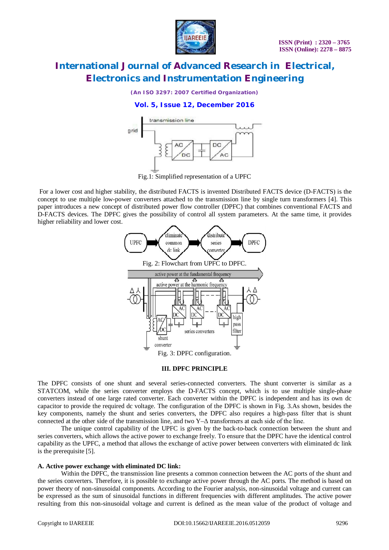

*(An ISO 3297: 2007 Certified Organization)*

### **Vol. 5, Issue 12, December 2016**



Fig.1: Simplified representation of a UPFC

For a lower cost and higher stability, the distributed FACTS is invented Distributed FACTS device (D-FACTS) is the concept to use multiple low-power converters attached to the transmission line by single turn transformers [4]. This paper introduces a new concept of distributed power flow controller (DPFC) that combines conventional FACTS and D-FACTS devices. The DPFC gives the possibility of control all system parameters. At the same time, it provides higher reliability and lower cost.



#### **III. DPFC PRINCIPLE**

The DPFC consists of one shunt and several series-connected converters. The shunt converter is similar as a STATCOM, while the series converter employs the D-FACTS concept, which is to use multiple single-phase converters instead of one large rated converter. Each converter within the DPFC is independent and has its own dc capacitor to provide the required dc voltage. The configuration of the DPFC is shown in Fig. 3.As shown, besides the key components, namely the shunt and series converters, the DPFC also requires a high-pass filter that is shunt connected at the other side of the transmission line, and two  $Y-\Delta$  transformers at each side of the line.

The unique control capability of the UPFC is given by the back-to-back connection between the shunt and series converters, which allows the active power to exchange freely. To ensure that the DPFC have the identical control capability as the UPFC, a method that allows the exchange of active power between converters with eliminated dc link is the prerequisite [5].

#### **A. Active power exchange with eliminated DC link:**

Within the DPFC, the transmission line presents a common connection between the AC ports of the shunt and the series converters. Therefore, it is possible to exchange active power through the AC ports. The method is based on power theory of non-sinusoidal components. According to the Fourier analysis, non-sinusoidal voltage and current can be expressed as the sum of sinusoidal functions in different frequencies with different amplitudes. The active power resulting from this non-sinusoidal voltage and current is defined as the mean value of the product of voltage and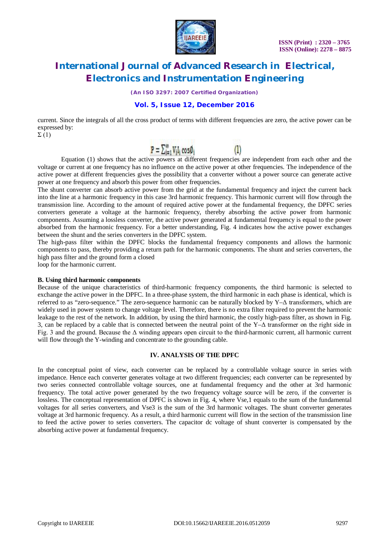

*(An ISO 3297: 2007 Certified Organization)*

### **Vol. 5, Issue 12, December 2016**

current. Since the integrals of all the cross product of terms with different frequencies are zero, the active power can be expressed by:

 $\Sigma(1)$ 

$$
\mathbf{P} = \sum_{i=1}^m V_i I_i \cos \theta_i
$$

Equation (1) shows that the active powers at different frequencies are independent from each other and the voltage or current at one frequency has no influence on the active power at other frequencies. The independence of the active power at different frequencies gives the possibility that a converter without a power source can generate active power at one frequency and absorb this power from other frequencies.

 $\left( \mathbb{I}\right)$ 

The shunt converter can absorb active power from the grid at the fundamental frequency and inject the current back into the line at a harmonic frequency in this case 3rd harmonic frequency. This harmonic current will flow through the transmission line. According to the amount of required active power at the fundamental frequency, the DPFC series converters generate a voltage at the harmonic frequency, thereby absorbing the active power from harmonic components. Assuming a lossless converter, the active power generated at fundamental frequency is equal to the power absorbed from the harmonic frequency. For a better understanding, Fig. 4 indicates how the active power exchanges between the shunt and the series converters in the DPFC system.

The high-pass filter within the DPFC blocks the fundamental frequency components and allows the harmonic components to pass, thereby providing a return path for the harmonic components. The shunt and series converters, the high pass filter and the ground form a closed

loop for the harmonic current.

#### **B. Using third harmonic components**

Because of the unique characteristics of third-harmonic frequency components, the third harmonic is selected to exchange the active power in the DPFC. In a three-phase system, the third harmonic in each phase is identical, which is referred to as "zero-sequence." The zero-sequence harmonic can be naturally blocked by Y–Δ transformers, which are widely used in power system to change voltage level. Therefore, there is no extra filter required to prevent the harmonic leakage to the rest of the network. In addition, by using the third harmonic, the costly high-pass filter, as shown in Fig. 3, can be replaced by a cable that is connected between the neutral point of the Y–Δ transformer on the right side in Fig. 3 and the ground. Because the  $\Delta$  winding appears open circuit to the third-harmonic current, all harmonic current will flow through the Y-winding and concentrate to the grounding cable.

### **IV. ANALYSIS OF THE DPFC**

In the conceptual point of view, each converter can be replaced by a controllable voltage source in series with impedance. Hence each converter generates voltage at two different frequencies; each converter can be represented by two series connected controllable voltage sources, one at fundamental frequency and the other at 3rd harmonic frequency. The total active power generated by the two frequency voltage source will be zero, if the converter is lossless. The conceptual representation of DPFC is shown in Fig. 4, where Vse, 1 equals to the sum of the fundamental voltages for all series converters, and Vse3 is the sum of the 3rd harmonic voltages. The shunt converter generates voltage at 3rd harmonic frequency. As a result, a third harmonic current will flow in the section of the transmission line to feed the active power to series converters. The capacitor dc voltage of shunt converter is compensated by the absorbing active power at fundamental frequency.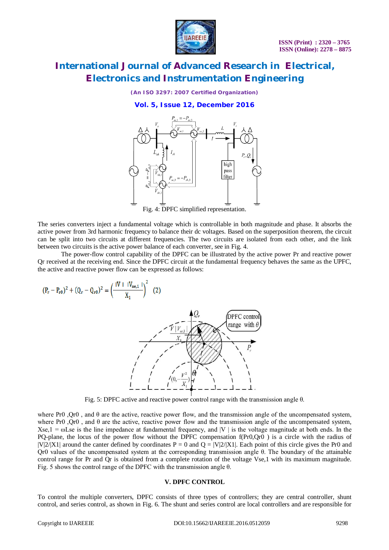

*(An ISO 3297: 2007 Certified Organization)*

#### **Vol. 5, Issue 12, December 2016**



Fig. 4: DPFC simplified representation.

The series converters inject a fundamental voltage which is controllable in both magnitude and phase. It absorbs the active power from 3rd harmonic frequency to balance their dc voltages. Based on the superposition theorem, the circuit can be split into two circuits at different frequencies. The two circuits are isolated from each other, and the link between two circuits is the active power balance of each converter, see in Fig. 4.

The power-flow control capability of the DPFC can be illustrated by the active power Pr and reactive power Qr received at the receiving end. Since the DPFC circuit at the fundamental frequency behaves the same as the UPFC, the active and reactive power flow can be expressed as follows:

$$
(P_{r} - P_{r0})^2 + (Q_{r} - Q_{r0})^2 = \left(\frac{|V| + |V_{se,1}|}{X_1}\right)^2 \tag{2}
$$



Fig. 5: DPFC active and reactive power control range with the transmission angle θ.

where Pr0 ,Qr0 , and θ are the active, reactive power flow, and the transmission angle of the uncompensated system, where Pr0 , Qr0 , and  $\theta$  are the active, reactive power flow and the transmission angle of the uncompensated system, Xse,  $1 = \omega$ Lse is the line impedance at fundamental frequency, and |V | is the voltage magnitude at both ends. In the PQ-plane, the locus of the power flow without the DPFC compensation f(Pr0,Qr0 ) is a circle with the radius of  $|V|2/|X1|$  around the canter defined by coordinates P = 0 and Q =  $|V|2/|X1|$ . Each point of this circle gives the Pr0 and Qr0 values of the uncompensated system at the corresponding transmission angle θ. The boundary of the attainable control range for Pr and Qr is obtained from a complete rotation of the voltage Vse,1 with its maximum magnitude. Fig. 5 shows the control range of the DPFC with the transmission angle θ.

#### **V. DPFC CONTROL**

To control the multiple converters, DPFC consists of three types of controllers; they are central controller, shunt control, and series control, as shown in Fig. 6. The shunt and series control are local controllers and are responsible for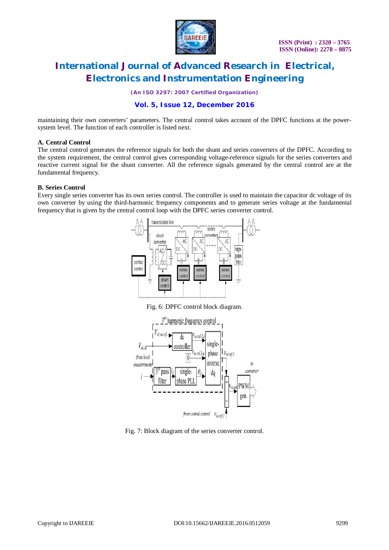

*(An ISO 3297: 2007 Certified Organization)*

### **Vol. 5, Issue 12, December 2016**

maintaining their own converters' parameters. The central control takes account of the DPFC functions at the powersystem level. The function of each controller is listed next.

#### **A. Central Control**

The central control generates the reference signals for both the shunt and series converters of the DPFC. According to the system requirement, the central control gives corresponding voltage-reference signals for the series converters and reactive current signal for the shunt converter. All the reference signals generated by the central control are at the fundamental frequency.

#### **B. Series Control**

Every single series converter has its own series control. The controller is used to maintain the capacitor dc voltage of its own converter by using the third-harmonic frequency components and to generate series voltage at the fundamental frequency that is given by the central control loop with the DPFC series converter control.



Fig. 6: DPFC control block diagram.



Fig. 7: Block diagram of the series converter control.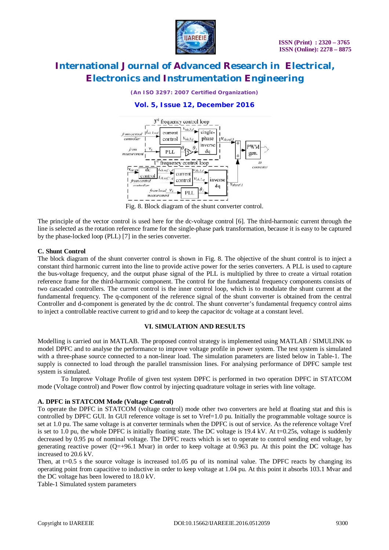

*(An ISO 3297: 2007 Certified Organization)*

### **Vol. 5, Issue 12, December 2016**



Fig. 8. Block diagram of the shunt converter control.

The principle of the vector control is used here for the dc-voltage control [6]. The third-harmonic current through the line is selected as the rotation reference frame for the single-phase park transformation, because it is easy to be captured by the phase-locked loop (PLL) [7] in the series converter.

#### **C. Shunt Control**

The block diagram of the shunt converter control is shown in Fig. 8. The objective of the shunt control is to inject a constant third harmonic current into the line to provide active power for the series converters. A PLL is used to capture the bus-voltage frequency, and the output phase signal of the PLL is multiplied by three to create a virtual rotation reference frame for the third-harmonic component. The control for the fundamental frequency components consists of two cascaded controllers. The current control is the inner control loop, which is to modulate the shunt current at the fundamental frequency. The q-component of the reference signal of the shunt converter is obtained from the central Controller and d-component is generated by the dc control. The shunt converter's fundamental frequency control aims to inject a controllable reactive current to grid and to keep the capacitor dc voltage at a constant level.

#### **VI. SIMULATION AND RESULTS**

Modelling is carried out in MATLAB. The proposed control strategy is implemented using MATLAB / SIMULINK to model DPFC and to analyse the performance to improve voltage profile in power system. The test system is simulated with a three-phase source connected to a non-linear load. The simulation parameters are listed below in Table-1. The supply is connected to load through the parallel transmission lines. For analysing performance of DPFC sample test system is simulated.

To Improve Voltage Profile of given test system DPFC is performed in two operation DPFC in STATCOM mode (Voltage control) and Power flow control by injecting quadrature voltage in series with line voltage.

#### **A. DPFC in STATCOM Mode (Voltage Control)**

To operate the DPFC in STATCOM (voltage control) mode other two converters are held at floating stat and this is controlled by DPFC GUI. In GUI reference voltage is set to Vref $=1.0$  pu. Initially the programmable voltage source is set at 1.0 pu. The same voltage is at converter terminals when the DPFC is out of service. As the reference voltage Vref is set to 1.0 pu, the whole DPFC is initially floating state. The DC voltage is  $19.4 \text{ kV}$ . At t=0.25s, voltage is suddenly decreased by 0.95 pu of nominal voltage. The DPFC reacts which is set to operate to control sending end voltage, by generating reactive power ( $Q=+96.1$  Mvar) in order to keep voltage at 0.963 pu. At this point the DC voltage has increased to 20.6 kV.

Then, at  $t=0.5$  s the source voltage is increased to 1.05 pu of its nominal value. The DPFC reacts by changing its operating point from capacitive to inductive in order to keep voltage at 1.04 pu. At this point it absorbs 103.1 Mvar and the DC voltage has been lowered to 18.0 kV.

Table-1 Simulated system parameters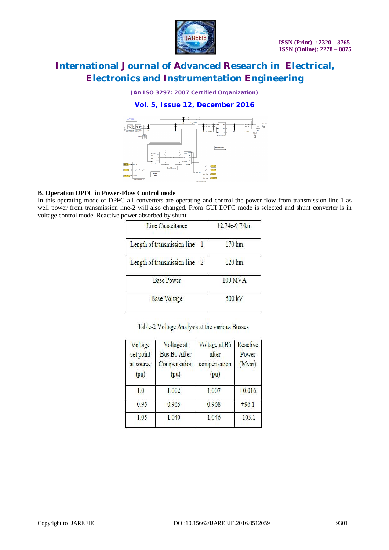

*(An ISO 3297: 2007 Certified Organization)*

**Vol. 5, Issue 12, December 2016**



#### **B. Operation DPFC in Power-Flow Control mode**

In this operating mode of DPFC all converters are operating and control the power-flow from transmission line-1 as well power from transmission line-2 will also changed. From GUI DPFC mode is selected and shunt converter is in voltage control mode. Reactive power absorbed by shunt

| 12.74c-9 F/km     |  |
|-------------------|--|
| $170 \mathrm{km}$ |  |
| $120 \mathrm{km}$ |  |
| 100 MVA           |  |
| 500 kV            |  |
|                   |  |

Table-2 Voltage Analysis at the various Busses

| Voltage<br>set point<br>at source<br>(pu) | Voltage at<br><b>Bus B0 After</b><br>Compensation<br>(pu) | Voltage at B6<br>after<br>compensation<br>(pu) | Reactive<br>Power<br>(Mvar) |
|-------------------------------------------|-----------------------------------------------------------|------------------------------------------------|-----------------------------|
| 1.0                                       | 1.002                                                     | 1.007                                          | 10.016                      |
| 0.963<br>0.95                             |                                                           | 0.968                                          | $+96.1$                     |
| 1.05                                      | 1.040                                                     | 1.046                                          | $-103.1$                    |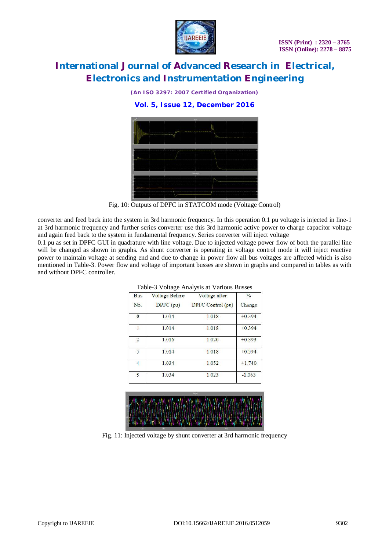

*(An ISO 3297: 2007 Certified Organization)*

**Vol. 5, Issue 12, December 2016**



Fig. 10: Outputs of DPFC in STATCOM mode (Voltage Control)

converter and feed back into the system in 3rd harmonic frequency. In this operation 0.1 pu voltage is injected in line-1 at 3rd harmonic frequency and further series converter use this 3rd harmonic active power to charge capacitor voltage and again feed back to the system in fundamental frequency. Series converter will inject voltage

0.1 pu as set in DPFC GUI in quadrature with line voltage. Due to injected voltage power flow of both the parallel line will be changed as shown in graphs. As shunt converter is operating in voltage control mode it will inject reactive power to maintain voltage at sending end and due to change in power flow all bus voltages are affected which is also mentioned in Table-3. Power flow and voltage of important busses are shown in graphs and compared in tables as with and without DPFC controller.

| <b>Bus</b>     | Voltage Before | Voltage after     | $\%$     |
|----------------|----------------|-------------------|----------|
| No.            | DPFC(pu)       | DPFC Control (pu) | Change   |
| $\bf{0}$       | 1.014          | 1.018             | $+0.394$ |
| $\overline{1}$ | 1.014          | 1.018             | $+0.394$ |
| $\overline{2}$ | 1.016          | 1.020             | $+0.393$ |
| 3              | 1.014          | 1.018             | 10.394   |
| $\overline{1}$ | 1.031          | 1.052             | $+1.740$ |
| 5              | 1.034          | 1.023             | $-1.063$ |

|  |  | Table-3 Voltage Analysis at Various Busses |  |  |
|--|--|--------------------------------------------|--|--|
|--|--|--------------------------------------------|--|--|



Fig. 11: Injected voltage by shunt converter at 3rd harmonic frequency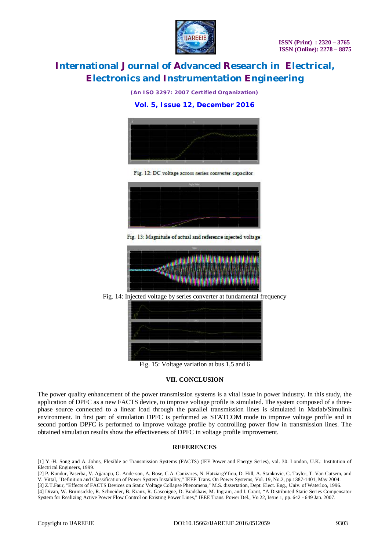

*(An ISO 3297: 2007 Certified Organization)*

**Vol. 5, Issue 12, December 2016**



Fig. 12: DC voltage across series converter capacitor



Fig. 13: Magnitude of actual and reference injected voltage



Fig. 14: Injected voltage by series converter at fundamental frequency



Fig. 15: Voltage variation at bus 1,5 and 6

#### **VII. CONCLUSION**

The power quality enhancement of the power transmission systems is a vital issue in power industry. In this study, the application of DPFC as a new FACTS device, to improve voltage profile is simulated. The system composed of a threephase source connected to a linear load through the parallel transmission lines is simulated in Matlab/Simulink environment. In first part of simulation DPFC is performed as STATCOM mode to improve voltage profile and in second portion DPFC is performed to improve voltage profile by controlling power flow in transmission lines. The obtained simulation results show the effectiveness of DPFC in voltage profile improvement.

#### **REFERENCES**

[1] Y.-H. Song and A. Johns, Flexible ac Transmission Systems (FACTS) (IEE Power and Energy Series), vol. 30. London, U.K.: Institution of Electrical Engineers, 1999.

[2] P. Kundur, Paserba, V. Ajjarapu, G. Anderson, A. Bose, C.A. Canizares, N. HatziargYfiou, D. Hill, A. Stankovic, C. Taylor, T. Van Cutsem, and V. Vittal, "Definition and Classification of Power System Instability," IEEE Trans. On Power Systems, Vol. 19, No.2, pp.1387-1401, May 2004.

[3] Z.T.Faur, "Effects of FACTS Devices on Static Voltage Collapse Phenomena," M.S. dissertation, Dept. Elect. Eng., Univ. of Waterloo, 1996. [4] Divan, W. Brumsickle, R. Schneider, B. Kranz, R. Gascoigne, D. Bradshaw, M. Ingram, and I. Grant, "A Distributed Static Series Compensator System for Realizing Active Power Flow Control on Existing Power Lines," IEEE Trans. Power Del., Vo 22, Issue 1, pp. 642 - 649 Jan. 2007.